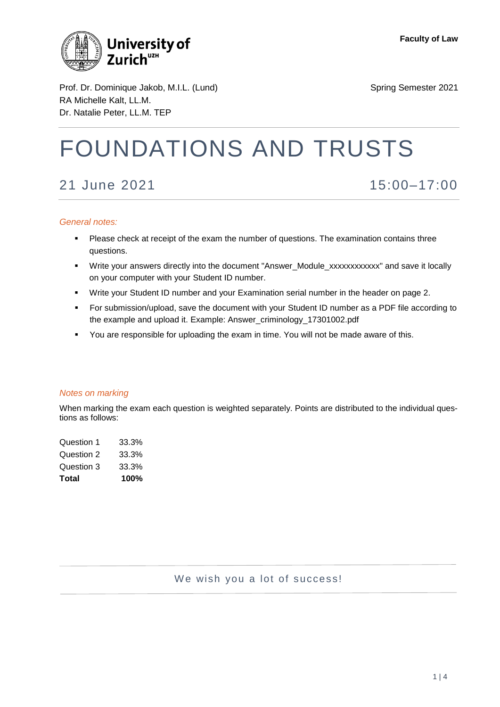

Prof. Dr. Dominique Jakob, M.I.L. (Lund) Spring Semester 2021 RA Michelle Kalt, LL.M. Dr. Natalie Peter, LL.M. TEP

# FOUNDATIONS AND TRUSTS

# 21 June 2021 15:00–17:00

#### *General notes:*

- **Please check at receipt of the exam the number of questions. The examination contains three** questions.
- Write your answers directly into the document "Answer\_Module\_xxxxxxxxxxxx" and save it locally on your computer with your Student ID number.
- Write your Student ID number and your Examination serial number in the header on page 2.
- For submission/upload, save the document with your Student ID number as a PDF file according to the example and upload it. Example: Answer\_criminology\_17301002.pdf
- You are responsible for uploading the exam in time. You will not be made aware of this.

#### *Notes on marking*

When marking the exam each question is weighted separately. Points are distributed to the individual questions as follows:

| Total      | 100%  |
|------------|-------|
| Question 3 | 33.3% |
| Question 2 | 33.3% |
| Question 1 | 33.3% |

# We wish you a lot of success!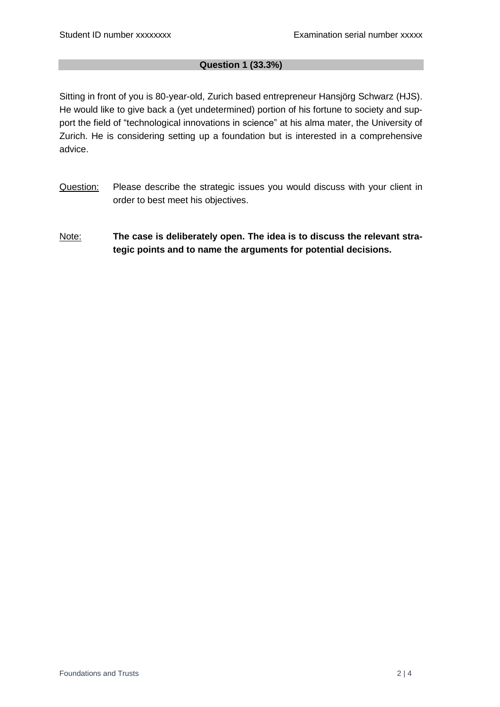# **Question 1 (33.3%)**

Sitting in front of you is 80-year-old, Zurich based entrepreneur Hansjörg Schwarz (HJS). He would like to give back a (yet undetermined) portion of his fortune to society and support the field of "technological innovations in science" at his alma mater, the University of Zurich. He is considering setting up a foundation but is interested in a comprehensive advice.

- Question: Please describe the strategic issues you would discuss with your client in order to best meet his objectives.
- Note: **The case is deliberately open. The idea is to discuss the relevant strategic points and to name the arguments for potential decisions.**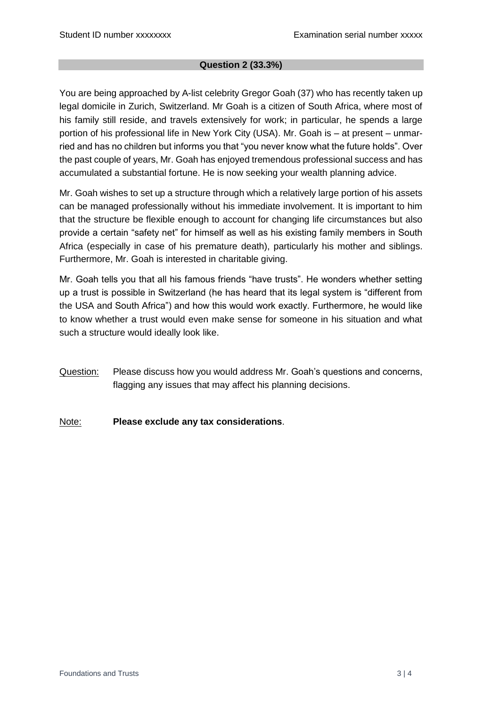# **Question 2 (33.3%)**

You are being approached by A-list celebrity Gregor Goah (37) who has recently taken up legal domicile in Zurich, Switzerland. Mr Goah is a citizen of South Africa, where most of his family still reside, and travels extensively for work; in particular, he spends a large portion of his professional life in New York City (USA). Mr. Goah is – at present – unmarried and has no children but informs you that "you never know what the future holds". Over the past couple of years, Mr. Goah has enjoyed tremendous professional success and has accumulated a substantial fortune. He is now seeking your wealth planning advice.

Mr. Goah wishes to set up a structure through which a relatively large portion of his assets can be managed professionally without his immediate involvement. It is important to him that the structure be flexible enough to account for changing life circumstances but also provide a certain "safety net" for himself as well as his existing family members in South Africa (especially in case of his premature death), particularly his mother and siblings. Furthermore, Mr. Goah is interested in charitable giving.

Mr. Goah tells you that all his famous friends "have trusts". He wonders whether setting up a trust is possible in Switzerland (he has heard that its legal system is "different from the USA and South Africa") and how this would work exactly. Furthermore, he would like to know whether a trust would even make sense for someone in his situation and what such a structure would ideally look like.

Question: Please discuss how you would address Mr. Goah's questions and concerns, flagging any issues that may affect his planning decisions.

Note: **Please exclude any tax considerations**.